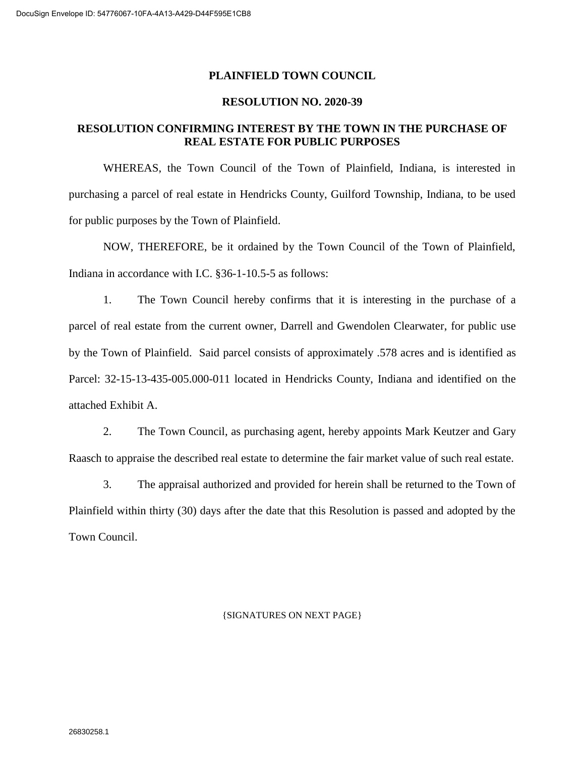#### **PLAINFIELD TOWN COUNCIL**

#### **RESOLUTION NO. 2020-39**

### **RESOLUTION CONFIRMING INTEREST BY THE TOWN IN THE PURCHASE OF REAL ESTATE FOR PUBLIC PURPOSES**

WHEREAS, the Town Council of the Town of Plainfield, Indiana, is interested in purchasing a parcel of real estate in Hendricks County, Guilford Township, Indiana, to be used for public purposes by the Town of Plainfield.

NOW, THEREFORE, be it ordained by the Town Council of the Town of Plainfield, Indiana in accordance with I.C. §36-1-10.5-5 as follows:

1. The Town Council hereby confirms that it is interesting in the purchase of a parcel of real estate from the current owner, Darrell and Gwendolen Clearwater, for public use by the Town of Plainfield. Said parcel consists of approximately .578 acres and is identified as Parcel: 32-15-13-435-005.000-011 located in Hendricks County, Indiana and identified on the attached Exhibit A.

2. The Town Council, as purchasing agent, hereby appoints Mark Keutzer and Gary Raasch to appraise the described real estate to determine the fair market value of such real estate.

3. The appraisal authorized and provided for herein shall be returned to the Town of Plainfield within thirty (30) days after the date that this Resolution is passed and adopted by the Town Council.

#### {SIGNATURES ON NEXT PAGE}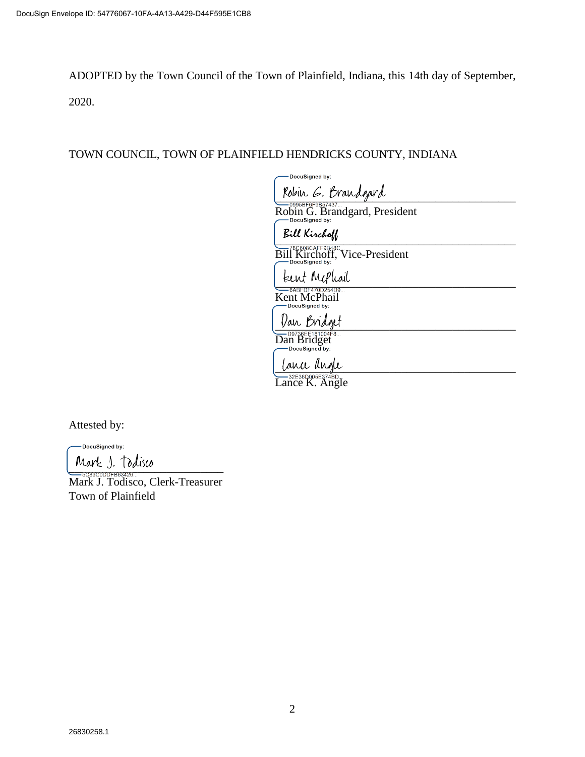ADOPTED by the Town Council of the Town of Plainfield, Indiana, this 14th day of September,

2020.

## TOWN COUNCIL, TOWN OF PLAINFIELD HENDRICKS COUNTY, INDIANA

| DocuSigned by:                                                        |
|-----------------------------------------------------------------------|
| Robin G. Brandgard                                                    |
| -0995BF6F9B57437<br>Robin G. Brandgard, President<br>-DocuSigned by:  |
| Bill Kirchoff                                                         |
| -78C608CAFF9B48C.<br>Bill Kirchoff, Vice-President<br>-DocuSigned by: |
| tent Mephail                                                          |
| -6ABFDF470D254D9<br>Kent McPhail<br>DocuSigned by:                    |
| Van Bridget                                                           |
| Dan Bridget<br>-DocuSigned by:                                        |
| lance angle                                                           |
| -32E36D005E374BD<br>ance K. Angle                                     |

Attested by:

DocuSigned by:

Mark J. Todisco

Mark J. Todisco, Clerk-Treasurer Town of Plainfield